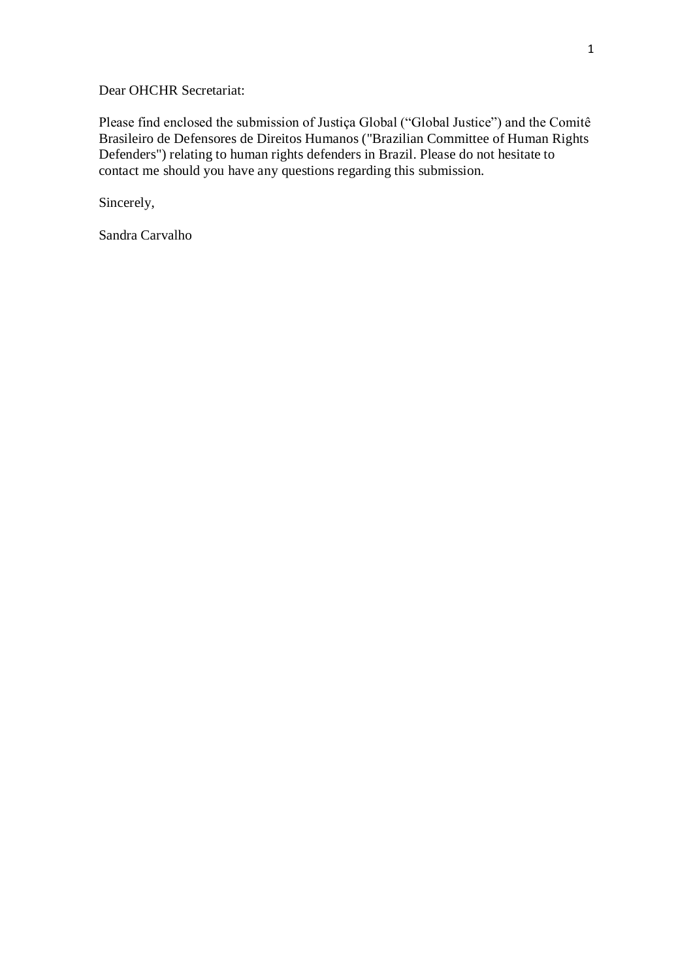Dear OHCHR Secretariat:

Please find enclosed the submission of Justiça Global ("Global Justice") and the Comitê Brasileiro de Defensores de Direitos Humanos ("Brazilian Committee of Human Rights Defenders") relating to human rights defenders in Brazil. Please do not hesitate to contact me should you have any questions regarding this submission.

Sincerely,

Sandra Carvalho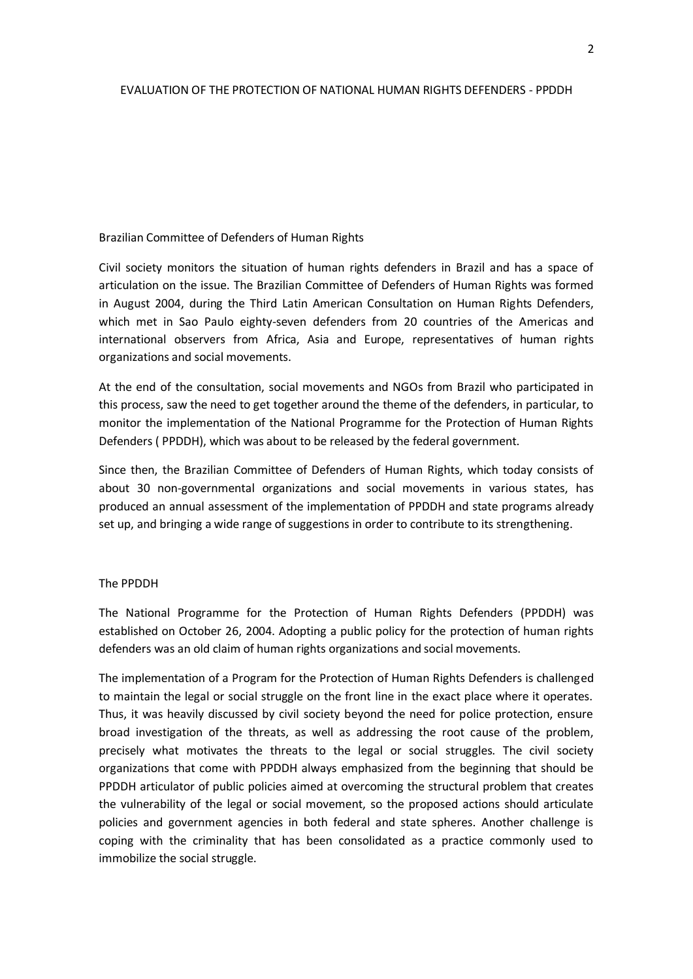## EVALUATION OF THE PROTECTION OF NATIONAL HUMAN RIGHTS DEFENDERS - PPDDH

## Brazilian Committee of Defenders of Human Rights

Civil society monitors the situation of human rights defenders in Brazil and has a space of articulation on the issue. The Brazilian Committee of Defenders of Human Rights was formed in August 2004, during the Third Latin American Consultation on Human Rights Defenders, which met in Sao Paulo eighty-seven defenders from 20 countries of the Americas and international observers from Africa, Asia and Europe, representatives of human rights organizations and social movements.

At the end of the consultation, social movements and NGOs from Brazil who participated in this process, saw the need to get together around the theme of the defenders, in particular, to monitor the implementation of the National Programme for the Protection of Human Rights Defenders ( PPDDH), which was about to be released by the federal government.

Since then, the Brazilian Committee of Defenders of Human Rights, which today consists of about 30 non-governmental organizations and social movements in various states, has produced an annual assessment of the implementation of PPDDH and state programs already set up, and bringing a wide range of suggestions in order to contribute to its strengthening.

## The PPDDH

The National Programme for the Protection of Human Rights Defenders (PPDDH) was established on October 26, 2004. Adopting a public policy for the protection of human rights defenders was an old claim of human rights organizations and social movements.

The implementation of a Program for the Protection of Human Rights Defenders is challenged to maintain the legal or social struggle on the front line in the exact place where it operates. Thus, it was heavily discussed by civil society beyond the need for police protection, ensure broad investigation of the threats, as well as addressing the root cause of the problem, precisely what motivates the threats to the legal or social struggles. The civil society organizations that come with PPDDH always emphasized from the beginning that should be PPDDH articulator of public policies aimed at overcoming the structural problem that creates the vulnerability of the legal or social movement, so the proposed actions should articulate policies and government agencies in both federal and state spheres. Another challenge is coping with the criminality that has been consolidated as a practice commonly used to immobilize the social struggle.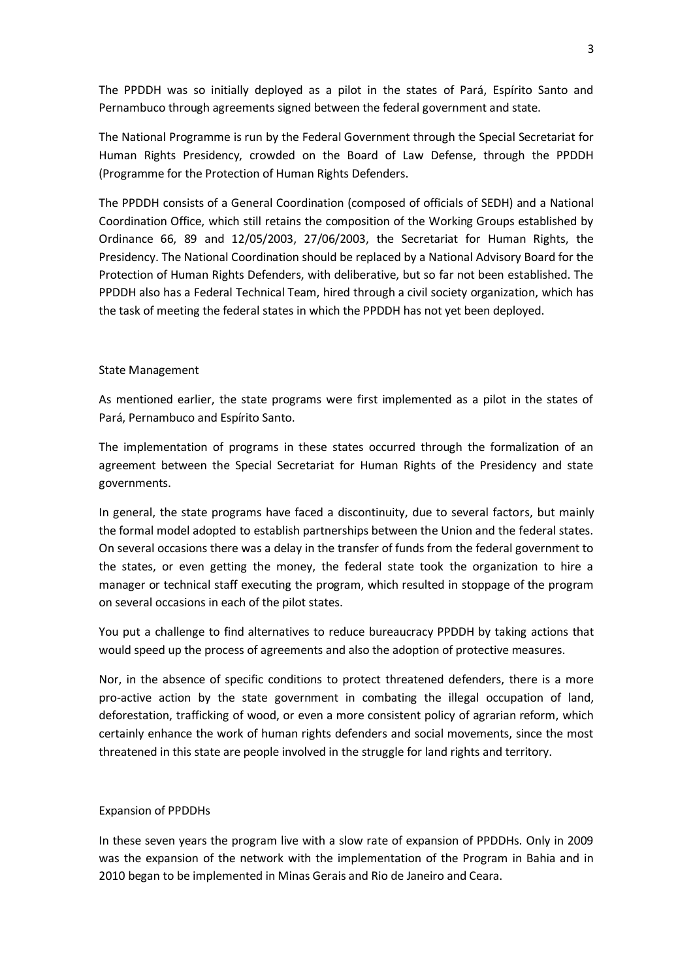The PPDDH was so initially deployed as a pilot in the states of Pará, Espírito Santo and Pernambuco through agreements signed between the federal government and state.

The National Programme is run by the Federal Government through the Special Secretariat for Human Rights Presidency, crowded on the Board of Law Defense, through the PPDDH (Programme for the Protection of Human Rights Defenders.

The PPDDH consists of a General Coordination (composed of officials of SEDH) and a National Coordination Office, which still retains the composition of the Working Groups established by Ordinance 66, 89 and 12/05/2003, 27/06/2003, the Secretariat for Human Rights, the Presidency. The National Coordination should be replaced by a National Advisory Board for the Protection of Human Rights Defenders, with deliberative, but so far not been established. The PPDDH also has a Federal Technical Team, hired through a civil society organization, which has the task of meeting the federal states in which the PPDDH has not yet been deployed.

## State Management

As mentioned earlier, the state programs were first implemented as a pilot in the states of Pará, Pernambuco and Espírito Santo.

The implementation of programs in these states occurred through the formalization of an agreement between the Special Secretariat for Human Rights of the Presidency and state governments.

In general, the state programs have faced a discontinuity, due to several factors, but mainly the formal model adopted to establish partnerships between the Union and the federal states. On several occasions there was a delay in the transfer of funds from the federal government to the states, or even getting the money, the federal state took the organization to hire a manager or technical staff executing the program, which resulted in stoppage of the program on several occasions in each of the pilot states.

You put a challenge to find alternatives to reduce bureaucracy PPDDH by taking actions that would speed up the process of agreements and also the adoption of protective measures.

Nor, in the absence of specific conditions to protect threatened defenders, there is a more pro-active action by the state government in combating the illegal occupation of land, deforestation, trafficking of wood, or even a more consistent policy of agrarian reform, which certainly enhance the work of human rights defenders and social movements, since the most threatened in this state are people involved in the struggle for land rights and territory.

#### Expansion of PPDDHs

In these seven years the program live with a slow rate of expansion of PPDDHs. Only in 2009 was the expansion of the network with the implementation of the Program in Bahia and in 2010 began to be implemented in Minas Gerais and Rio de Janeiro and Ceara.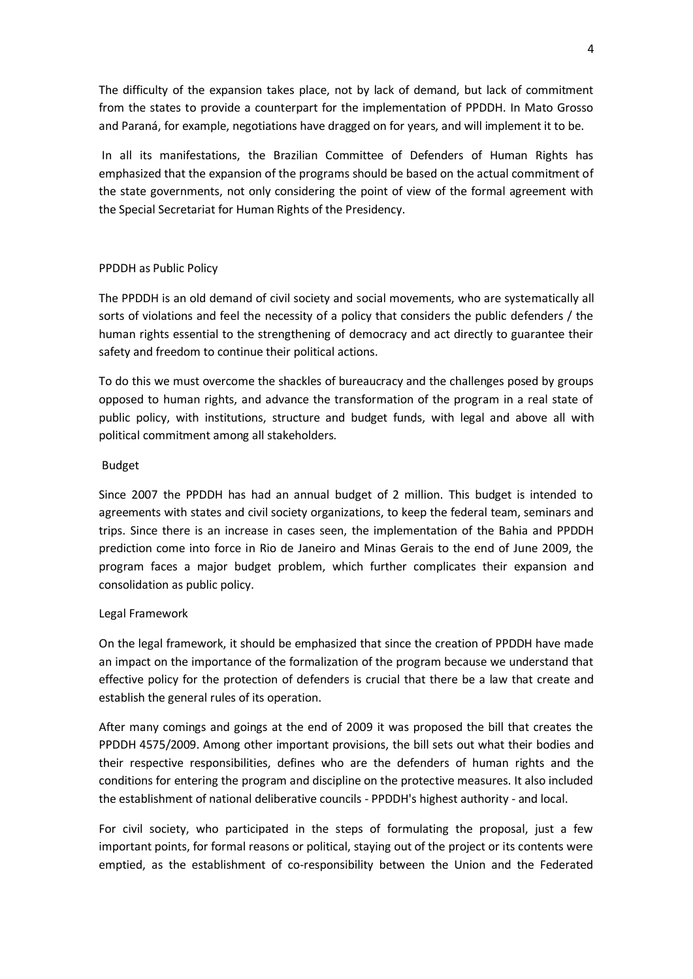The difficulty of the expansion takes place, not by lack of demand, but lack of commitment from the states to provide a counterpart for the implementation of PPDDH. In Mato Grosso and Paraná, for example, negotiations have dragged on for years, and will implement it to be.

In all its manifestations, the Brazilian Committee of Defenders of Human Rights has emphasized that the expansion of the programs should be based on the actual commitment of the state governments, not only considering the point of view of the formal agreement with the Special Secretariat for Human Rights of the Presidency.

# PPDDH as Public Policy

The PPDDH is an old demand of civil society and social movements, who are systematically all sorts of violations and feel the necessity of a policy that considers the public defenders / the human rights essential to the strengthening of democracy and act directly to guarantee their safety and freedom to continue their political actions.

To do this we must overcome the shackles of bureaucracy and the challenges posed by groups opposed to human rights, and advance the transformation of the program in a real state of public policy, with institutions, structure and budget funds, with legal and above all with political commitment among all stakeholders.

## Budget

Since 2007 the PPDDH has had an annual budget of 2 million. This budget is intended to agreements with states and civil society organizations, to keep the federal team, seminars and trips. Since there is an increase in cases seen, the implementation of the Bahia and PPDDH prediction come into force in Rio de Janeiro and Minas Gerais to the end of June 2009, the program faces a major budget problem, which further complicates their expansion and consolidation as public policy.

## Legal Framework

On the legal framework, it should be emphasized that since the creation of PPDDH have made an impact on the importance of the formalization of the program because we understand that effective policy for the protection of defenders is crucial that there be a law that create and establish the general rules of its operation.

After many comings and goings at the end of 2009 it was proposed the bill that creates the PPDDH 4575/2009. Among other important provisions, the bill sets out what their bodies and their respective responsibilities, defines who are the defenders of human rights and the conditions for entering the program and discipline on the protective measures. It also included the establishment of national deliberative councils - PPDDH's highest authority - and local.

For civil society, who participated in the steps of formulating the proposal, just a few important points, for formal reasons or political, staying out of the project or its contents were emptied, as the establishment of co-responsibility between the Union and the Federated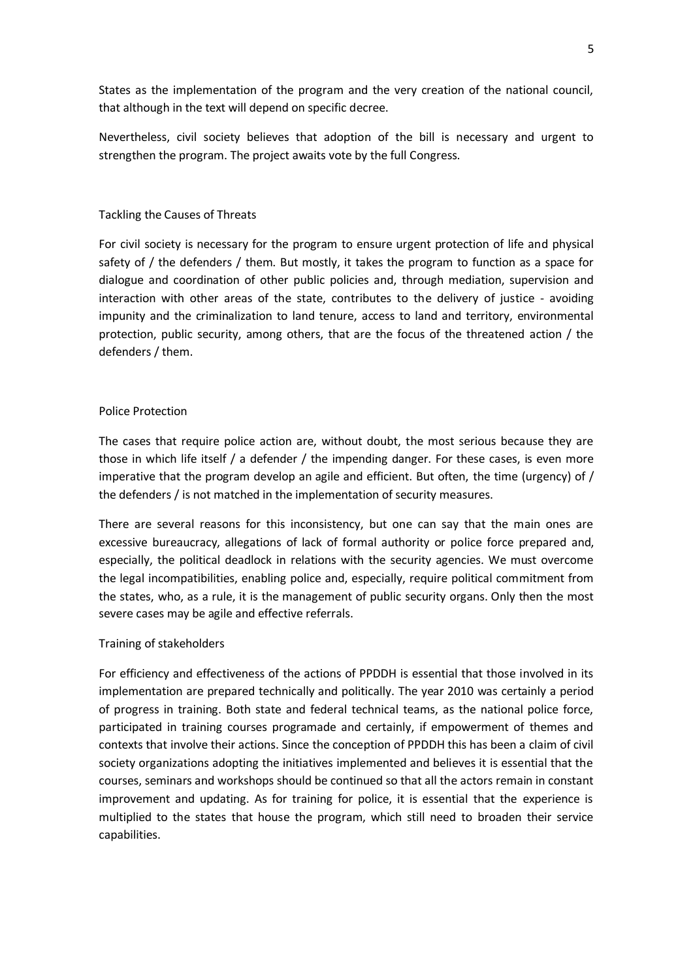States as the implementation of the program and the very creation of the national council, that although in the text will depend on specific decree.

Nevertheless, civil society believes that adoption of the bill is necessary and urgent to strengthen the program. The project awaits vote by the full Congress.

## Tackling the Causes of Threats

For civil society is necessary for the program to ensure urgent protection of life and physical safety of / the defenders / them. But mostly, it takes the program to function as a space for dialogue and coordination of other public policies and, through mediation, supervision and interaction with other areas of the state, contributes to the delivery of justice - avoiding impunity and the criminalization to land tenure, access to land and territory, environmental protection, public security, among others, that are the focus of the threatened action / the defenders / them.

## Police Protection

The cases that require police action are, without doubt, the most serious because they are those in which life itself  $/$  a defender  $/$  the impending danger. For these cases, is even more imperative that the program develop an agile and efficient. But often, the time (urgency) of / the defenders / is not matched in the implementation of security measures.

There are several reasons for this inconsistency, but one can say that the main ones are excessive bureaucracy, allegations of lack of formal authority or police force prepared and, especially, the political deadlock in relations with the security agencies. We must overcome the legal incompatibilities, enabling police and, especially, require political commitment from the states, who, as a rule, it is the management of public security organs. Only then the most severe cases may be agile and effective referrals.

## Training of stakeholders

For efficiency and effectiveness of the actions of PPDDH is essential that those involved in its implementation are prepared technically and politically. The year 2010 was certainly a period of progress in training. Both state and federal technical teams, as the national police force, participated in training courses programade and certainly, if empowerment of themes and contexts that involve their actions. Since the conception of PPDDH this has been a claim of civil society organizations adopting the initiatives implemented and believes it is essential that the courses, seminars and workshops should be continued so that all the actors remain in constant improvement and updating. As for training for police, it is essential that the experience is multiplied to the states that house the program, which still need to broaden their service capabilities.